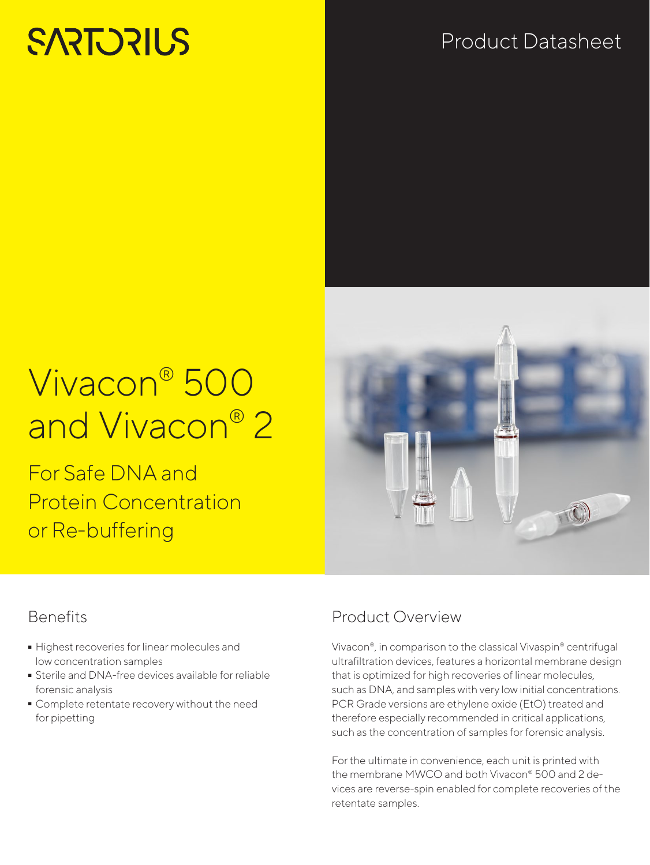# **SARTORILS**

## Product Datasheet

## Vivacon® 500 and Vivacon® 2

For Safe DNA and Protein Concentration or Re-buffering

## **Benefits**

- Highest recoveries for linear molecules and low concentration samples
- Sterile and DNA-free devices available for reliable forensic analysis
- Complete retentate recovery without the need for pipetting

## Product Overview

Vivacon®, in comparison to the classical Vivaspin® centrifugal ultrafiltration devices, features a horizontal membrane design that is optimized for high recoveries of linear molecules, such as DNA, and samples with very low initial concentrations. PCR Grade versions are ethylene oxide (EtO) treated and therefore especially recommended in critical applications, such as the concentration of samples for forensic analysis.

For the ultimate in convenience, each unit is printed with the membrane MWCO and both Vivacon® 500 and 2 devices are reverse-spin enabled for complete recoveries of the retentate samples.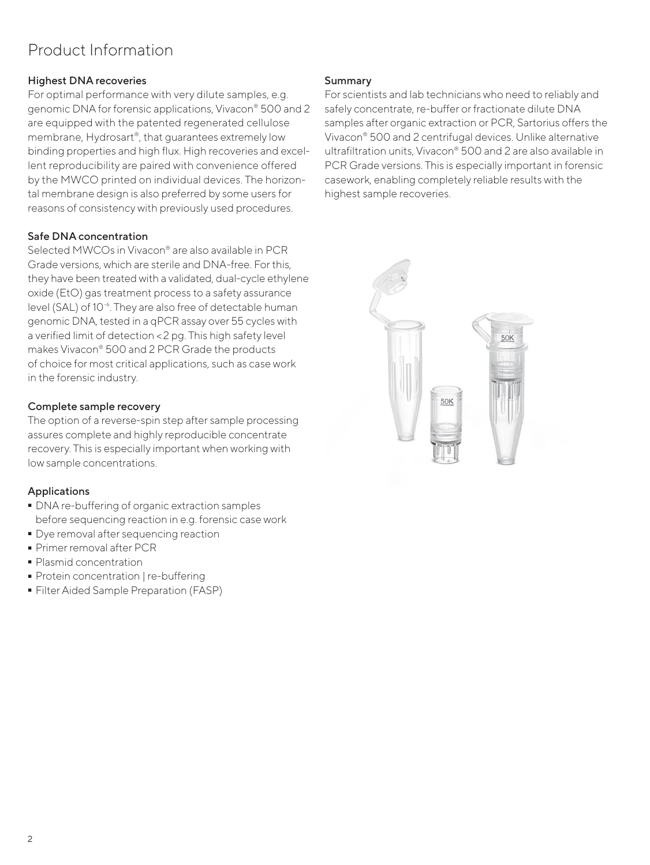## Product Information

#### Highest DNA recoveries

For optimal performance with very dilute samples, e.g. genomic DNA for forensic applications, Vivacon® 500 and 2 are equipped with the patented regenerated cellulose membrane, Hydrosart®, that guarantees extremely low binding properties and high flux. High recoveries and excellent reproducibility are paired with convenience offered by the MWCO printed on individual devices. The horizontal membrane design is also preferred by some users for reasons of consistency with previously used procedures.

#### Safe DNA concentration

Selected MWCOs in Vivacon® are also available in PCR Grade versions, which are sterile and DNA-free. For this, they have been treated with a validated, dual-cycle ethylene oxide (EtO) gas treatment process to a safety assurance level (SAL) of 10<sup>-6</sup>. They are also free of detectable human genomic DNA, tested in a qPCR assay over 55 cycles with a verified limit of detection <2 pg. This high safety level makes Vivacon® 500 and 2 PCR Grade the products of choice for most critical applications, such as case work in the forensic industry.

#### Complete sample recovery

The option of a reverse-spin step after sample processing assures complete and highly reproducible concentrate recovery. This is especially important when working with low sample concentrations.

### Applications

- DNA re-buffering of organic extraction samples before sequencing reaction in e.g. forensic case work
- Dye removal after sequencing reaction<br>• Primer removal after PCR<br>• Plasmid concentration
- Primer removal after PCR
- 
- Protein concentration | re-buffering
- Protein concentration | re-buffering - Filter Aided Sample Preparation (FASP)

#### Summary

For scientists and lab technicians who need to reliably and safely concentrate, re-buffer or fractionate dilute DNA samples after organic extraction or PCR, Sartorius offers the Vivacon® 500 and 2 centrifugal devices. Unlike alternative ultrafiltration units, Vivacon® 500 and 2 are also available in PCR Grade versions. This is especially important in forensic casework, enabling completely reliable results with the highest sample recoveries.

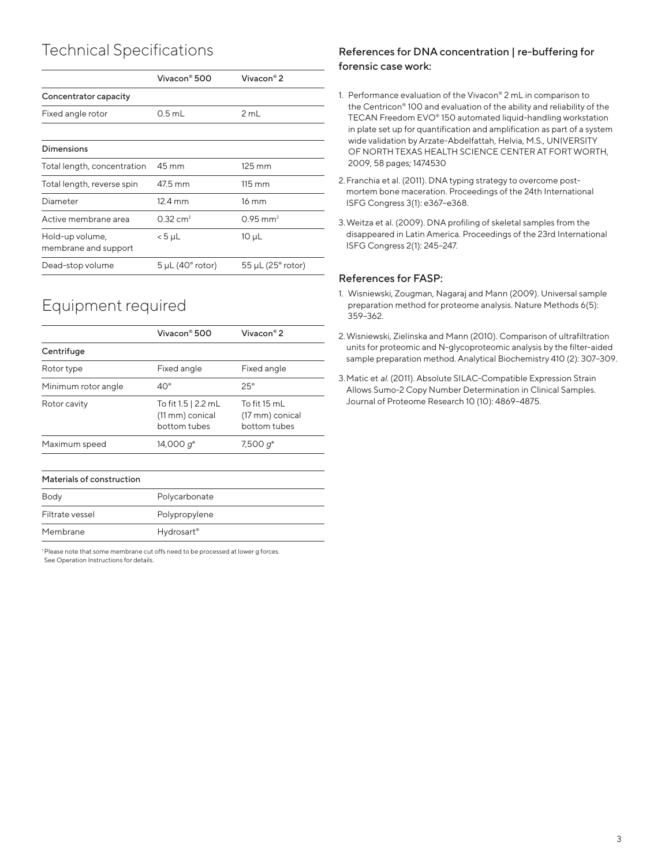## Technical Specifications

|                                         | Vivacon <sup>®</sup> 500       | Vivacon <sup>®</sup> 2          |
|-----------------------------------------|--------------------------------|---------------------------------|
| Concentrator capacity                   |                                |                                 |
| Fixed angle rotor                       | $0.5$ mL                       | 2 mL                            |
|                                         |                                |                                 |
| Dimensions                              |                                |                                 |
| Total length, concentration             | 45 mm                          | $125 \text{ mm}$                |
| Total length, reverse spin              | 47.5 mm                        | $115 \text{ mm}$                |
| Diameter                                | $12.4 \text{ mm}$              | 16 mm                           |
| Active membrane area                    | $0.32 \text{ cm}^2$            | $0.95$ mm <sup>2</sup>          |
| Hold-up volume,<br>membrane and support | $< 5$ µL                       | 10 µL                           |
| Dead-stop volume                        | $5 \mu L$ (40 $\degree$ rotor) | $55 \mu L$ (25 $\degree$ rotor) |
|                                         |                                |                                 |

## Equipment required

|                           | Vivacon® 500                                           | Vivacon <sup>®</sup> 2                          |  |
|---------------------------|--------------------------------------------------------|-------------------------------------------------|--|
| Centrifuge                |                                                        |                                                 |  |
| Rotor type                | Fixed angle                                            | Fixed angle                                     |  |
| Minimum rotor angle       | $40^{\circ}$                                           | $25^\circ$                                      |  |
| Rotor cavity              | To fit 1.5   2.2 mL<br>(11 mm) conical<br>bottom tubes | To fit 15 mL<br>(17 mm) conical<br>bottom tubes |  |
| Maximum speed             | 14,000 $q^*$                                           | 7,500 $q^*$                                     |  |
| Materials of construction |                                                        |                                                 |  |
| Body                      | Polycarbonate                                          |                                                 |  |
| Filtrate vessel           | Polypropylene                                          |                                                 |  |

1 Please note that some membrane cut offs need to be processed at lower g forces. See Operation Instructions for details.

Membrane Hydrosart®

#### References for DNA concentration | re-buffering for forensic case work:

- 1. Performance evaluation of the Vivacon® 2 mL in comparison to the Centricon® 100 and evaluation of the ability and reliability of the TECAN Freedom EVO® 150 automated liquid-handling workstation in plate set up for quantification and amplification as part of a system wide validation by Arzate-Abdelfattah, Helvia, M.S., UNIVERSITY OF NORTH TEXAS HEALTH SCIENCE CENTER AT FORT WORTH, 2009, 58 pages; 1474530
- 2.Franchia et al. (2011). DNA typing strategy to overcome postmortem bone maceration. Proceedings of the 24th International ISFG Congress 3(1): e367–e368.
- 3.Weitza et al. (2009). DNA profiling of skeletal samples from the disappeared in Latin America. Proceedings of the 23rd International ISFG Congress 2(1): 245–247.

#### References for FASP:

- 1. Wisniewski, Zougman, Nagaraj and Mann (2009). Universal sample preparation method for proteome analysis. Nature Methods 6(5): 359–362.
- 2.Wisniewski, Zielinska and Mann (2010). Comparison of ultrafiltration units for proteomic and N-glycoproteomic analysis by the filter-aided sample preparation method. Analytical Biochemistry 410 (2): 307–309.
- 3. Matic et *al.* (2011). Absolute SILAC-Compatible Expression Strain Allows Sumo-2 Copy Number Determination in Clinical Samples. Journal of Proteome Research 10 (10): 4869–4875.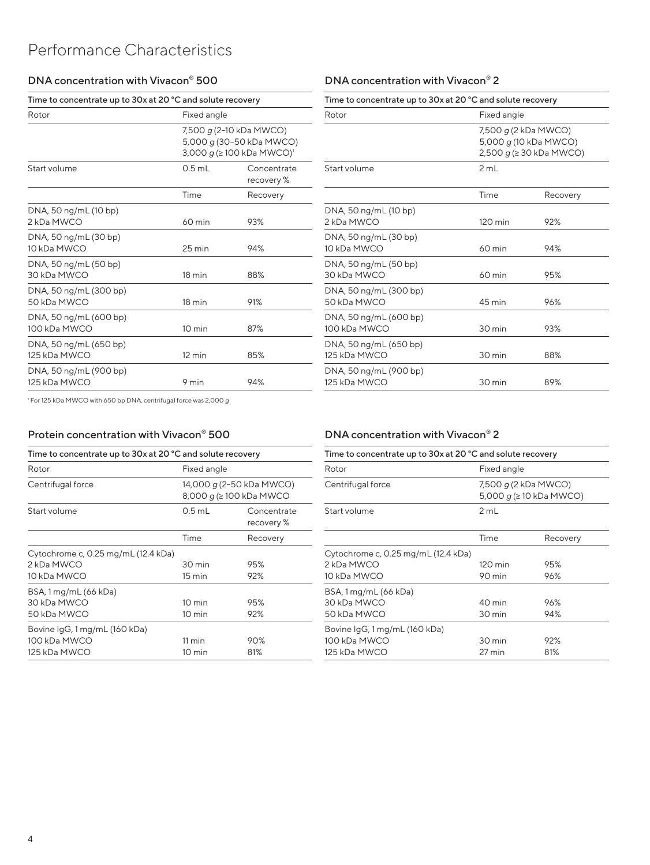### Performance Characteristics

#### DNA concentration with Vivacon® 500

| Time to concentrate up to 30x at 20 °C and solute recovery |                  |                                                                                             |  |
|------------------------------------------------------------|------------------|---------------------------------------------------------------------------------------------|--|
| Rotor                                                      | Fixed angle      |                                                                                             |  |
|                                                            |                  | 7,500 g (2-10 kDa MWCO)<br>5,000 g (30-50 kDa MWCO)<br>3,000 g (≥100 kDa MWCO) <sup>1</sup> |  |
| Start volume                                               | $0.5$ mL         | Concentrate<br>recovery %                                                                   |  |
|                                                            | Time             | Recovery                                                                                    |  |
| DNA, 50 ng/mL (10 bp)<br>2 kDa MWCO                        | 60 min           | 93%                                                                                         |  |
| DNA, 50 ng/mL (30 bp)<br>10 kDa MWCO                       | $25 \text{ min}$ | 94%                                                                                         |  |
| DNA, 50 ng/mL (50 bp)<br>30 kDa MWCO                       | 18 min           | 88%                                                                                         |  |
| DNA, 50 ng/mL (300 bp)<br>50 kDa MWCO                      | 18 min           | 91%                                                                                         |  |
| DNA, 50 ng/mL (600 bp)<br>100 kDa MWCO                     | 10 min           | 87%                                                                                         |  |
| DNA, 50 ng/mL (650 bp)<br>125 kDa MWCO                     | $12 \text{ min}$ | 85%                                                                                         |  |
| DNA, 50 ng/mL (900 bp)<br>125 kDa MWCO                     | 9 min            | 94%                                                                                         |  |

### DNA concentration with Vivacon® 2

| Time to concentrate up to 30x at 20 °C and solute recovery |                      |                                                    |  |
|------------------------------------------------------------|----------------------|----------------------------------------------------|--|
| Rotor                                                      | Fixed angle          |                                                    |  |
|                                                            | 7,500 g (2 kDa MWCO) | 5,000 g (10 kDa MWCO)<br>2,500 $g$ (≥ 30 kDa MWCO) |  |
| Start volume                                               | 2 mL                 |                                                    |  |
|                                                            | Time                 | Recovery                                           |  |
| DNA, 50 ng/mL (10 bp)<br>2 kDa MWCO                        | $120 \text{ min}$    | 92%                                                |  |
| DNA, 50 ng/mL (30 bp)<br>10 kDa MWCO                       | 60 min               | 94%                                                |  |
| DNA, 50 ng/mL (50 bp)<br>30 kDa MWCO                       | 60 min               | 95%                                                |  |
| DNA, 50 ng/mL (300 bp)<br>50 kDa MWCO                      | 45 min               | 96%                                                |  |
| DNA, 50 ng/mL (600 bp)<br>100 kDa MWCO                     | 30 min               | 93%                                                |  |
| DNA, 50 ng/mL (650 bp)<br>125 kDa MWCO                     | 30 min               | 88%                                                |  |
| DNA, 50 ng/mL (900 bp)<br>125 kDa MWCO                     | 30 min               | 89%                                                |  |

1 For 125 kDa MWCO with 650 bp DNA, centrifugal force was 2,000 *g*

#### Protein concentration with Vivacon® 500

| Time to concentrate up to 30x at 20 °C and solute recovery |                                                             |                           |  |
|------------------------------------------------------------|-------------------------------------------------------------|---------------------------|--|
| Rotor                                                      | Fixed angle                                                 |                           |  |
| Centrifugal force                                          | 14,000 g (2–50 kDa MWCO)<br>8,000 $g$ ( $\geq$ 100 kDa MWCO |                           |  |
| Start volume                                               | $0.5$ mL                                                    | Concentrate<br>recovery % |  |
|                                                            | Time                                                        | Recovery                  |  |
| Cytochrome c, 0.25 mg/mL (12.4 kDa)                        |                                                             |                           |  |
| 2 kDa MWCO                                                 | 30 min                                                      | 95%                       |  |
| 10 kDa MWCO                                                | 15 min                                                      | 92%                       |  |
| BSA, 1 mg/mL (66 kDa)                                      |                                                             |                           |  |
| 30 kDa MWCO                                                | 10 min                                                      | 95%                       |  |
| 50 kDa MWCO                                                | 10 min                                                      | 92%                       |  |
| Bovine IgG, 1 mg/mL (160 kDa)                              |                                                             |                           |  |
| 100 kDa MWCO                                               | $11 \text{ min}$                                            | 90%                       |  |
| 125 kDa MWCO                                               | 10 min                                                      | 81%                       |  |

#### DNA concentration with Vivacon® 2

| Time to concentrate up to 30x at 20 °C and solute recovery |                   |                                                    |  |
|------------------------------------------------------------|-------------------|----------------------------------------------------|--|
| Rotor                                                      | Fixed angle       |                                                    |  |
| Centrifugal force                                          |                   | 7,500 g (2 kDa MWCO)<br>5,000 $q \ge 10$ kDa MWCO) |  |
| Start volume                                               | 2 mL              |                                                    |  |
|                                                            | Time              | Recovery                                           |  |
| Cytochrome c, 0.25 mg/mL (12.4 kDa)                        |                   |                                                    |  |
| 2 kDa MWCO                                                 | $120 \text{ min}$ | 95%                                                |  |
| 10 kDa MWCO                                                | 90 min            | 96%                                                |  |
| BSA, 1 mg/mL (66 kDa)                                      |                   |                                                    |  |
| 30 kDa MWCO                                                | 40 min            | 96%                                                |  |
| 50 kDa MWCO                                                | 30 min            | 94%                                                |  |
| Bovine IgG, 1 mg/mL (160 kDa)                              |                   |                                                    |  |
| 100 kDa MWCO                                               | 30 min            | 92%                                                |  |
| 125 kDa MWCO                                               | 27 min            | 81%                                                |  |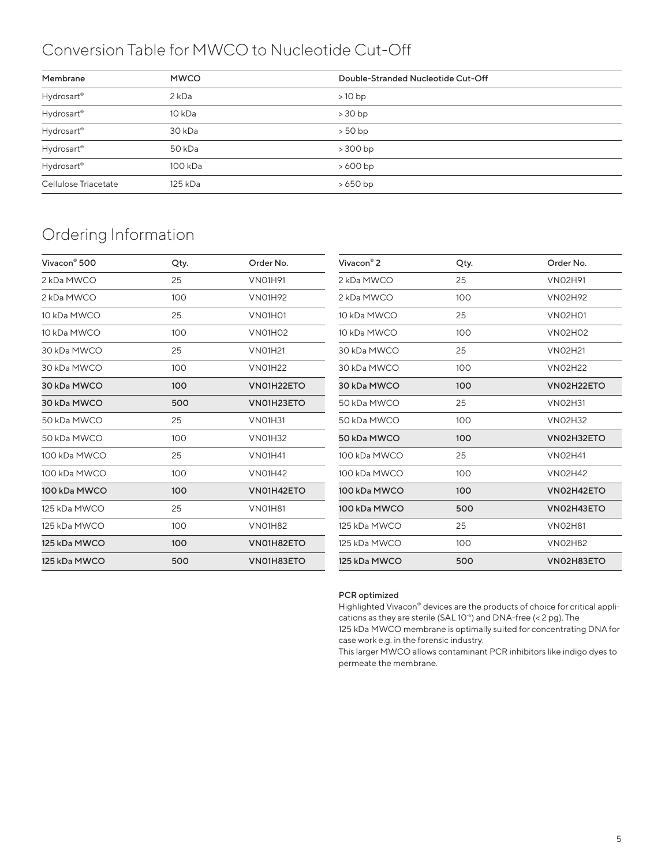## Conversion Table for MWCO to Nucleotide Cut-Off

| Membrane             | <b>MWCO</b>       | Double-Stranded Nucleotide Cut-Off |
|----------------------|-------------------|------------------------------------|
| Hydrosart®           | 2 <sub>kDa</sub>  | $>10$ bp                           |
| Hydrosart®           | 10 kDa            | $>30$ bp                           |
| Hydrosart®           | 30 <sub>kDa</sub> | $>50$ bp                           |
| Hydrosart®           | 50 <sub>kDa</sub> | $>300$ bp                          |
| Hydrosart®           | 100 kDa           | $>600$ bp                          |
| Cellulose Triacetate | 125 kDa           | $>650$ bp                          |

## Ordering Information

| Vivacon <sup>®</sup> 500 | Qty. | Order No.                        | Vivacon <sup>®</sup> 2 | Qty. | Order No.      |
|--------------------------|------|----------------------------------|------------------------|------|----------------|
| 2 kDa MWCO               | 25   | <b>VNO1H91</b>                   | 2 kDa MWCO             | 25   | <b>VNO2H91</b> |
| 2 kDa MWCO               | 100  | <b>VNO1H92</b>                   | 2 kDa MWCO             | 100  | <b>VNO2H92</b> |
| 10 kDa MWCO              | 25   | VNO <sub>1</sub> H <sub>O1</sub> | 10 kDa MWCO            | 25   | <b>VNO2H01</b> |
| 10 kDa MWCO              | 100  | VNO <sub>1</sub> H <sub>O2</sub> | 10 kDa MWCO            | 100  | <b>VNO2HO2</b> |
| 30 kDa MWCO              | 25   | <b>VNO1H21</b>                   | 30 kDa MWCO            | 25   | <b>VNO2H21</b> |
| 30 kDa MWCO              | 100  | <b>VNO1H22</b>                   | 30 kDa MWCO            | 100  | <b>VNO2H22</b> |
| 30 kDa MWCO              | 100  | VN01H22ETO                       | 30 kDa MWCO            | 100  | VN02H22ETO     |
| 30 kDa MWCO              | 500  | VN01H23ETO                       | 50 kDa MWCO            | 25   | <b>VNO2H31</b> |
| 50 kDa MWCO              | 25   | <b>VNO1H31</b>                   | 50 kDa MWCO            | 100  | <b>VNO2H32</b> |
| 50 kDa MWCO              | 100  | <b>VNO1H32</b>                   | 50 kDa MWCO            | 100  | VN02H32ETO     |
| 100 kDa MWCO             | 25   | <b>VNO1H41</b>                   | 100 kDa MWCO           | 25   | <b>VNO2H41</b> |
| 100 kDa MWCO             | 100  | <b>VN01H42</b>                   | 100 kDa MWCO           | 100  | <b>VNO2H42</b> |
| 100 kDa MWCO             | 100  | VN01H42ETO                       | 100 kDa MWCO           | 100  | VN02H42ETO     |
| 125 kDa MWCO             | 25   | <b>VNO1H81</b>                   | 100 kDa MWCO           | 500  | VN02H43ETO     |
| 125 kDa MWCO             | 100  | <b>VNO1H82</b>                   | 125 kDa MWCO           | 25   | <b>VNO2H81</b> |
| 125 kDa MWCO             | 100  | VN01H82ETO                       | 125 kDa MWCO           | 100  | <b>VNO2H82</b> |
| 125 kDa MWCO             | 500  | VN01H83ETO                       | 125 kDa MWCO           | 500  | VN02H83ETO     |
|                          |      |                                  |                        |      |                |

#### PCR optimized

Highlighted Vivacon® devices are the products of choice for critical applications as they are sterile (SAL 10<sup>-6</sup>) and DNA-free (< 2 pg). The

125 kDa MWCO membrane is optimally suited for concentrating DNA for case work e.g. in the forensic industry.

This larger MWCO allows contaminant PCR inhibitors like indigo dyes to permeate the membrane.